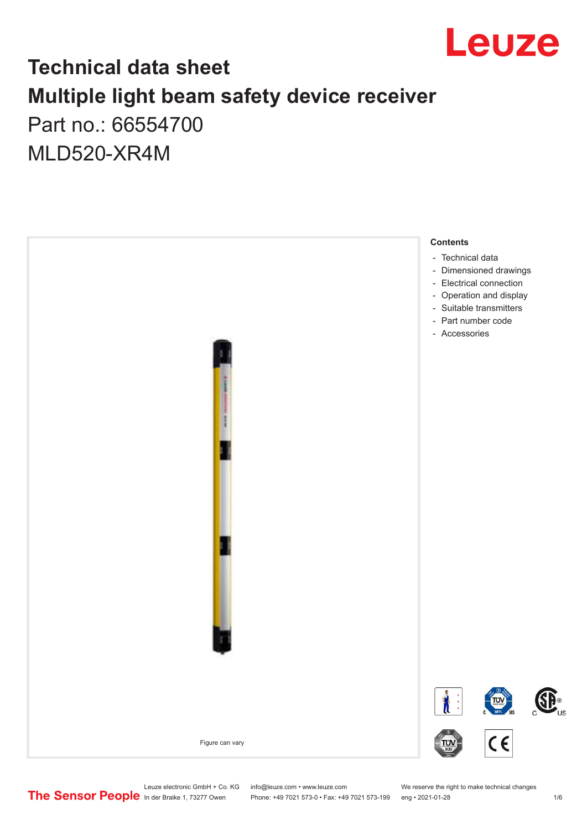

## **Technical data sheet Multiple light beam safety device receiver** Part no.: 66554700

MLD520-XR4M



Leuze electronic GmbH + Co. KG info@leuze.com • www.leuze.com We reserve the right to make technical changes<br>
The Sensor People in der Braike 1, 73277 Owen Phone: +49 7021 573-0 • Fax: +49 7021 573-199 eng • 2021-01-28

Phone: +49 7021 573-0 • Fax: +49 7021 573-199 eng • 2021-01-28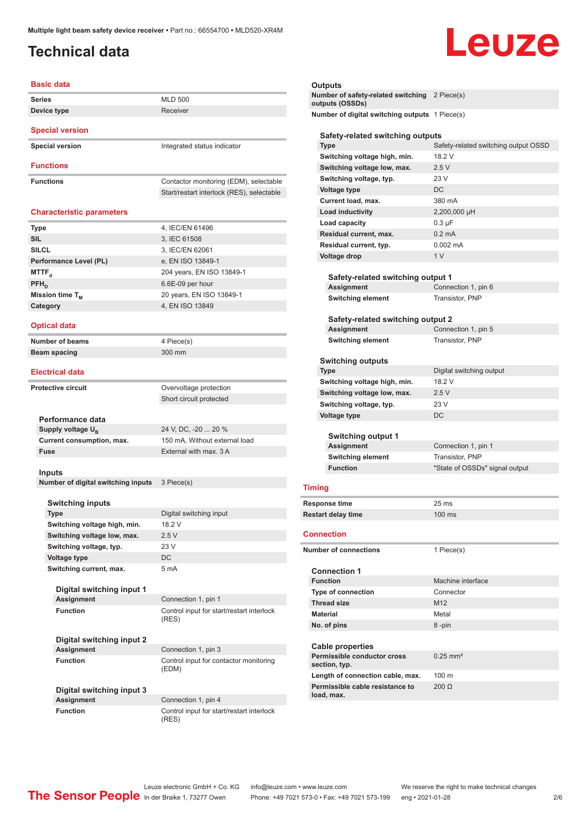### <span id="page-1-0"></span>**Technical data**

# Leuze

| <b>Series</b>                      | <b>MLD 500</b>                            |
|------------------------------------|-------------------------------------------|
| Device type                        | Receiver                                  |
|                                    |                                           |
| <b>Special version</b>             |                                           |
| <b>Special version</b>             | Integrated status indicator               |
| <b>Functions</b>                   |                                           |
| <b>Functions</b>                   | Contactor monitoring (EDM), selectable    |
|                                    | Start/restart interlock (RES), selectable |
| <b>Characteristic parameters</b>   |                                           |
| Type                               | 4, IEC/EN 61496                           |
| <b>SIL</b>                         | 3, IEC 61508                              |
| <b>SILCL</b>                       | 3, IEC/EN 62061                           |
|                                    |                                           |
| Performance Level (PL)             | e, EN ISO 13849-1                         |
| MTTF <sub>d</sub>                  | 204 years, EN ISO 13849-1                 |
| PFH <sub>n</sub>                   | 6.6E-09 per hour                          |
| Mission time $T_{M}$               | 20 years, EN ISO 13849-1                  |
| Category                           | 4. EN ISO 13849                           |
| <b>Optical data</b>                |                                           |
| Number of beams                    | 4 Piece(s)                                |
| <b>Beam spacing</b>                | 300 mm                                    |
| <b>Electrical data</b>             |                                           |
|                                    |                                           |
| <b>Protective circuit</b>          | Overvoltage protection                    |
|                                    | Short circuit protected                   |
| Performance data                   |                                           |
| Supply voltage $U_{B}$             | 24 V, DC, -20  20 %                       |
| Current consumption, max.          | 150 mA, Without external load             |
| <b>Fuse</b>                        | External with max, 3 A                    |
|                                    |                                           |
| Inputs                             |                                           |
| Number of digital switching inputs | 3 Piece(s)                                |
|                                    |                                           |
| <b>Switching inputs</b>            |                                           |
| Type                               | Digital switching input                   |
| Switching voltage high, min.       | 18.2 V                                    |
| Switching voltage low, max.        | 2.5V                                      |
|                                    | 23 V                                      |
| Switching voltage, typ.            | DC.                                       |
| Voltage type                       |                                           |
| Switching current, max.            | 5 mA                                      |
| Digital switching input 1          |                                           |
| <b>Assignment</b>                  | Connection 1, pin 1                       |
| <b>Function</b>                    | Control input for start/restart interlock |
|                                    | (RES)                                     |
| Digital switching input 2          |                                           |
| <b>Assignment</b>                  | Connection 1, pin 3                       |
| <b>Function</b>                    | Control input for contactor monitoring    |
|                                    | (EDM)                                     |
| Digital switching input 3          |                                           |
| <b>Assignment</b>                  | Connection 1, pin 4                       |
|                                    |                                           |
| <b>Function</b>                    | Control input for start/restart interlock |

#### **Outputs**

| ------<br>Number of safety-related switching 2 Piece(s)<br>outputs (OSSDs) |  |
|----------------------------------------------------------------------------|--|
| Number of digital switching outputs 1 Piece(s)                             |  |
| Safaty-related switching outpute                                           |  |

| Safety-related switching outputs  |                                      |
|-----------------------------------|--------------------------------------|
| <b>Type</b>                       | Safety-related switching output OSSD |
| Switching voltage high, min.      | 18.2 V                               |
| Switching voltage low, max.       | 2.5V                                 |
| Switching voltage, typ.           | 23 V                                 |
| Voltage type                      | DC                                   |
| Current load, max.                | 380 mA                               |
| Load inductivity                  | 2,200,000 µH                         |
| Load capacity                     | $0.3 \mu F$                          |
| Residual current, max.            | $0.2 \text{ mA}$                     |
| Residual current, typ.            | $0.002 \, \text{mA}$                 |
| <b>Voltage drop</b>               | 1 <sub>V</sub>                       |
|                                   |                                      |
| Safety-related switching output 1 |                                      |
| <b>Assignment</b>                 | Connection 1, pin 6                  |
|                                   |                                      |

| <b>Switching element</b>          | Transistor, PNP     |  |
|-----------------------------------|---------------------|--|
| Safety-related switching output 2 |                     |  |
| Assignment                        | Connection 1, pin 5 |  |

| ,,,,,,,,,,,,,,,,         | 50111100110111, p1110 |  |
|--------------------------|-----------------------|--|
| <b>Switching element</b> | Transistor, PNP       |  |
|                          |                       |  |
|                          |                       |  |

| <b>Switching outputs</b> |  |
|--------------------------|--|
|                          |  |

| <b>Type</b>                  | Digital switching output       |
|------------------------------|--------------------------------|
| Switching voltage high, min. | 18.2 V                         |
| Switching voltage low, max.  | 2.5V                           |
| Switching voltage, typ.      | 23 V                           |
| Voltage type                 | DC                             |
| <b>Switching output 1</b>    |                                |
| <b>Assignment</b>            | Connection 1, pin 1            |
| <b>Switching element</b>     | Transistor, PNP                |
| <b>Function</b>              | "State of OSSDs" signal output |
|                              |                                |

### **Timing**

| <b>Response time</b>      | 25 ms            |
|---------------------------|------------------|
| <b>Restart delay time</b> | $100 \text{ ms}$ |

#### **Connection**

| <b>Number of connections</b>                  | 1 Piece(s)             |
|-----------------------------------------------|------------------------|
| <b>Connection 1</b>                           |                        |
| <b>Function</b>                               | Machine interface      |
| <b>Type of connection</b>                     | Connector              |
| <b>Thread size</b>                            | M <sub>12</sub>        |
| <b>Material</b>                               | Metal                  |
| No. of pins                                   | 8-pin                  |
| <b>Cable properties</b>                       |                        |
| Permissible conductor cross<br>section, typ.  | $0.25$ mm <sup>2</sup> |
| Length of connection cable, max.              | 100 <sub>m</sub>       |
| Permissible cable resistance to<br>load, max. | 200 <sub>O</sub>       |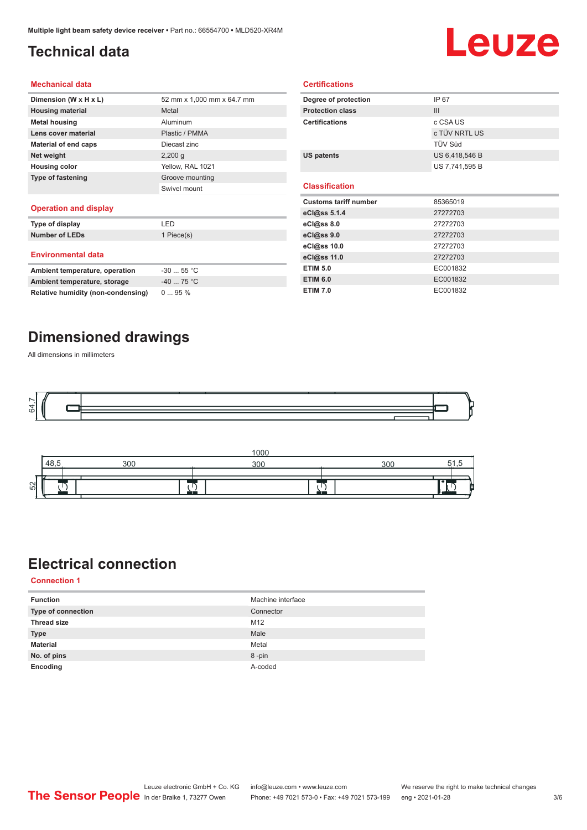## <span id="page-2-0"></span>**Technical data**

# Leuze

#### **Mechanical data**

| Dimension (W x H x L)    | 52 mm x 1,000 mm x 64.7 mm |
|--------------------------|----------------------------|
| <b>Housing material</b>  | Metal                      |
| <b>Metal housing</b>     | Aluminum                   |
| Lens cover material      | Plastic / PMMA             |
| Material of end caps     | Diecast zinc               |
| Net weight               | $2,200$ q                  |
| <b>Housing color</b>     | Yellow, RAL 1021           |
| <b>Type of fastening</b> | Groove mounting            |
|                          | Swivel mount               |
|                          |                            |

#### **Operation and display**

| Type of display                | I FD       |
|--------------------------------|------------|
| <b>Number of LEDs</b>          | 1 Piece(s) |
| <b>Environmental data</b>      |            |
| Ambient temperature, operation | $-3055$ °C |
| Ambient temperature, storage   | $-4075 °C$ |

| Degree of protection         | IP 67          |
|------------------------------|----------------|
| <b>Protection class</b>      | III            |
| <b>Certifications</b>        | c CSA US       |
|                              | c TÜV NRTL US  |
|                              | TÜV Süd        |
| <b>US patents</b>            | US 6,418,546 B |
|                              | US 7,741,595 B |
|                              |                |
| <b>Classification</b>        |                |
| <b>Customs tariff number</b> | 85365019       |
| eCl@ss 5.1.4                 | 27272703       |
| eCl@ss 8.0                   | 27272703       |
| eCl@ss 9.0                   | 27272703       |
| eCl@ss 10.0                  | 27272703       |
| eCl@ss 11.0                  | 27272703       |
| <b>ETIM 5.0</b>              | EC001832       |
|                              |                |
| <b>ETIM 6.0</b>              | EC001832       |

**Certifications**

### **Dimensioned drawings**

**Relative humidity (non-condensing)** 0 ... 95 %

All dimensions in millimeters





### **Electrical connection**

**Connection 1**

| <b>Function</b>           | Machine interface |
|---------------------------|-------------------|
| <b>Type of connection</b> | Connector         |
| <b>Thread size</b>        | M12               |
| <b>Type</b>               | Male              |
| <b>Material</b>           | Metal             |
| No. of pins               | 8-pin             |
| Encoding                  | A-coded           |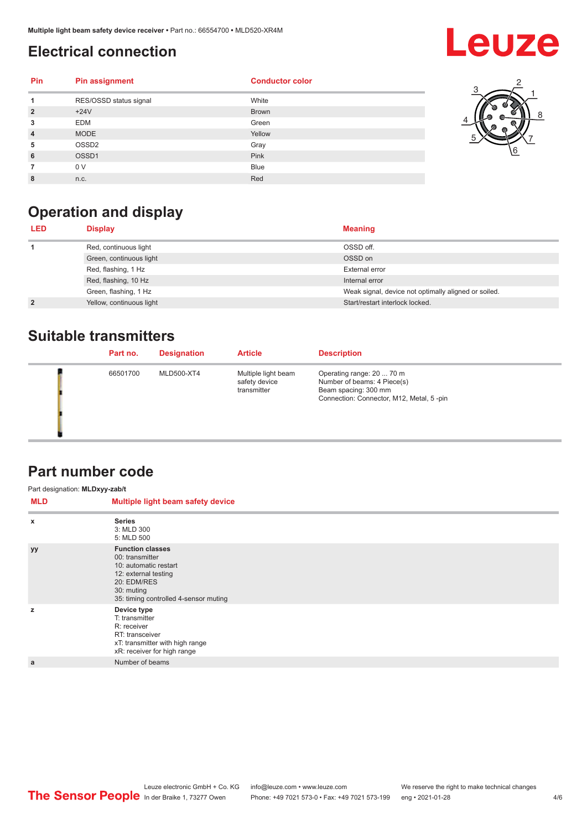### <span id="page-3-0"></span>**Electrical connection**

## **Leuze**

| <b>Pin</b>     | <b>Pin assignment</b>  | <b>Conductor color</b> |
|----------------|------------------------|------------------------|
| 1              | RES/OSSD status signal | White                  |
| $\overline{2}$ | $+24V$                 | <b>Brown</b>           |
| 3              | <b>EDM</b>             | Green                  |
| $\overline{4}$ | <b>MODE</b>            | Yellow                 |
| 5              | OSSD <sub>2</sub>      | Gray                   |
| 6              | OSSD1                  | Pink                   |
|                | 0 V                    | <b>Blue</b>            |
| 8              | n.c.                   | Red                    |



## **Operation and display**

| LED.           | <b>Display</b>           | <b>Meaning</b>                                       |
|----------------|--------------------------|------------------------------------------------------|
|                | Red, continuous light    | OSSD off.                                            |
|                | Green, continuous light  | OSSD on                                              |
|                | Red, flashing, 1 Hz      | External error                                       |
|                | Red, flashing, 10 Hz     | Internal error                                       |
|                | Green, flashing, 1 Hz    | Weak signal, device not optimally aligned or soiled. |
| $\overline{2}$ | Yellow, continuous light | Start/restart interlock locked.                      |

### **Suitable transmitters**

| Part no. | <b>Designation</b> | <b>Article</b>                                      | <b>Description</b>                                                                                                           |
|----------|--------------------|-----------------------------------------------------|------------------------------------------------------------------------------------------------------------------------------|
| 66501700 | MLD500-XT4         | Multiple light beam<br>safety device<br>transmitter | Operating range: 20  70 m<br>Number of beams: 4 Piece(s)<br>Beam spacing: 300 mm<br>Connection: Connector, M12, Metal, 5-pin |

### **Part number code**

| Part designation: MLDxyy-zab/t |                                                                                                                                                                   |  |  |  |
|--------------------------------|-------------------------------------------------------------------------------------------------------------------------------------------------------------------|--|--|--|
| <b>MLD</b>                     | Multiple light beam safety device                                                                                                                                 |  |  |  |
| $\boldsymbol{\mathsf{x}}$      | <b>Series</b><br>3: MLD 300<br>5: MLD 500                                                                                                                         |  |  |  |
| уу                             | <b>Function classes</b><br>00: transmitter<br>10: automatic restart<br>12: external testing<br>20: EDM/RES<br>30: muting<br>35: timing controlled 4-sensor muting |  |  |  |
| z                              | Device type<br>T: transmitter<br>R: receiver<br>RT: transceiver<br>xT: transmitter with high range<br>xR: receiver for high range                                 |  |  |  |
| a                              | Number of beams                                                                                                                                                   |  |  |  |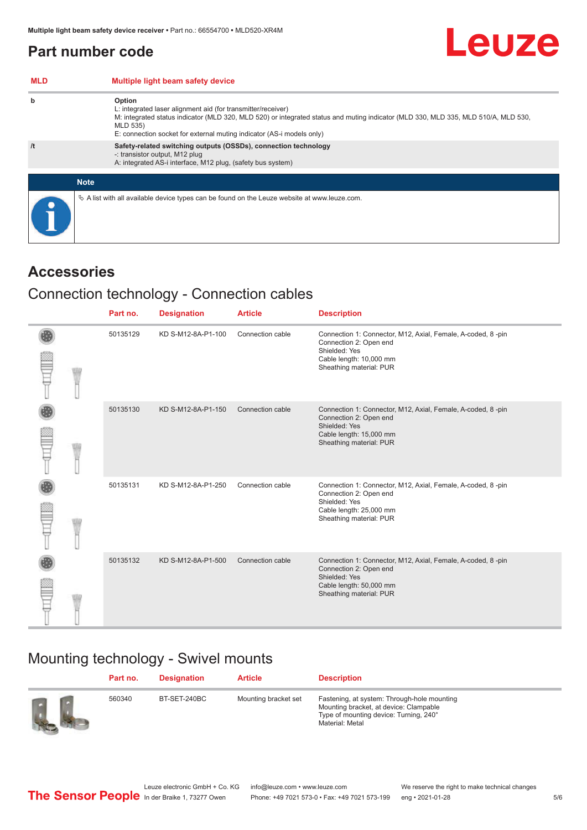### <span id="page-4-0"></span>**Part number code**

| <b>MLD</b> | Multiple light beam safety device                                                                                                                                                                                                                                                                 |
|------------|---------------------------------------------------------------------------------------------------------------------------------------------------------------------------------------------------------------------------------------------------------------------------------------------------|
| b          | Option<br>L: integrated laser alignment aid (for transmitter/receiver)<br>M: integrated status indicator (MLD 320, MLD 520) or integrated status and muting indicator (MLD 330, MLD 335, MLD 510/A, MLD 530,<br>MLD 535)<br>E: connection socket for external muting indicator (AS-i models only) |
| /t         | Safety-related switching outputs (OSSDs), connection technology<br>-: transistor output, M12 plug<br>A: integrated AS-i interface, M12 plug, (safety bus system)                                                                                                                                  |
|            | <b>Note</b>                                                                                                                                                                                                                                                                                       |
|            | $\&$ A list with all available device types can be found on the Leuze website at www.leuze.com.                                                                                                                                                                                                   |

### **Accessories**

### Connection technology - Connection cables

|  | Part no. | <b>Designation</b> | <b>Article</b>   | <b>Description</b>                                                                                                                                           |
|--|----------|--------------------|------------------|--------------------------------------------------------------------------------------------------------------------------------------------------------------|
|  | 50135129 | KD S-M12-8A-P1-100 | Connection cable | Connection 1: Connector, M12, Axial, Female, A-coded, 8-pin<br>Connection 2: Open end<br>Shielded: Yes<br>Cable length: 10,000 mm<br>Sheathing material: PUR |
|  | 50135130 | KD S-M12-8A-P1-150 | Connection cable | Connection 1: Connector, M12, Axial, Female, A-coded, 8-pin<br>Connection 2: Open end<br>Shielded: Yes<br>Cable length: 15,000 mm<br>Sheathing material: PUR |
|  | 50135131 | KD S-M12-8A-P1-250 | Connection cable | Connection 1: Connector, M12, Axial, Female, A-coded, 8-pin<br>Connection 2: Open end<br>Shielded: Yes<br>Cable length: 25,000 mm<br>Sheathing material: PUR |
|  | 50135132 | KD S-M12-8A-P1-500 | Connection cable | Connection 1: Connector, M12, Axial, Female, A-coded, 8-pin<br>Connection 2: Open end<br>Shielded: Yes<br>Cable length: 50,000 mm<br>Sheathing material: PUR |

## Mounting technology - Swivel mounts

| Part no. | Designation  | <b>Article</b>       | <b>Description</b>                                                                                                                                 |
|----------|--------------|----------------------|----------------------------------------------------------------------------------------------------------------------------------------------------|
| 560340   | BT-SET-240BC | Mounting bracket set | Fastening, at system: Through-hole mounting<br>Mounting bracket, at device: Clampable<br>Type of mounting device: Turning, 240°<br>Material: Metal |